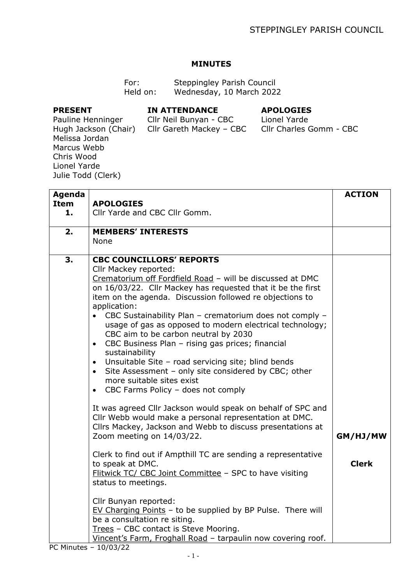### **MINUTES**

| For:     | Steppingley Parish Council |
|----------|----------------------------|
| Held on: | Wednesday, 10 March 2022   |

### **PRESENT**

#### **IN ATTENDANCE**

# **APOLOGIES**

Cllr Neil Bunyan - CBC

Cllr Gareth Mackey – CBC Cllr Charles Gomm - CBC Lionel Yarde

Pauline Henninger Hugh Jackson (Chair) Melissa Jordan Marcus Webb Chris Wood Lionel Yarde Julie Todd (Clerk)

| <b>Agenda</b>                                                 |                                                                                                                          | <b>ACTION</b> |
|---------------------------------------------------------------|--------------------------------------------------------------------------------------------------------------------------|---------------|
| <b>Item</b><br>1.                                             | <b>APOLOGIES</b><br>Cllr Yarde and CBC Cllr Gomm.                                                                        |               |
|                                                               |                                                                                                                          |               |
| 2.                                                            | <b>MEMBERS' INTERESTS</b>                                                                                                |               |
|                                                               | <b>None</b>                                                                                                              |               |
| 3.                                                            | <b>CBC COUNCILLORS' REPORTS</b>                                                                                          |               |
|                                                               | Cllr Mackey reported:                                                                                                    |               |
|                                                               | Crematorium off Fordfield Road - will be discussed at DMC<br>on 16/03/22. Cllr Mackey has requested that it be the first |               |
|                                                               | item on the agenda. Discussion followed re objections to                                                                 |               |
|                                                               | application:                                                                                                             |               |
|                                                               | • CBC Sustainability Plan - crematorium does not comply -                                                                |               |
|                                                               | usage of gas as opposed to modern electrical technology;                                                                 |               |
|                                                               | CBC aim to be carbon neutral by 2030                                                                                     |               |
|                                                               | CBC Business Plan - rising gas prices; financial<br>$\bullet$<br>sustainability                                          |               |
|                                                               | Unsuitable Site - road servicing site; blind bends<br>$\bullet$                                                          |               |
|                                                               | Site Assessment - only site considered by CBC; other<br>$\bullet$                                                        |               |
|                                                               | more suitable sites exist                                                                                                |               |
|                                                               | CBC Farms Policy - does not comply<br>$\bullet$                                                                          |               |
|                                                               | It was agreed Cllr Jackson would speak on behalf of SPC and                                                              |               |
|                                                               | Cllr Webb would make a personal representation at DMC.                                                                   |               |
|                                                               | Cllrs Mackey, Jackson and Webb to discuss presentations at                                                               | GM/HJ/MW      |
|                                                               | Zoom meeting on 14/03/22.                                                                                                |               |
| Clerk to find out if Ampthill TC are sending a representative |                                                                                                                          |               |
|                                                               | to speak at DMC.                                                                                                         | <b>Clerk</b>  |
|                                                               | Flitwick TC/ CBC Joint Committee - SPC to have visiting                                                                  |               |
|                                                               | status to meetings.                                                                                                      |               |
|                                                               | Cllr Bunyan reported:                                                                                                    |               |
|                                                               | EV Charging Points - to be supplied by BP Pulse. There will                                                              |               |
|                                                               | be a consultation re siting.                                                                                             |               |
|                                                               | Trees - CBC contact is Steve Mooring.                                                                                    |               |
|                                                               | Vincent's Farm, Froghall Road - tarpaulin now covering roof.                                                             |               |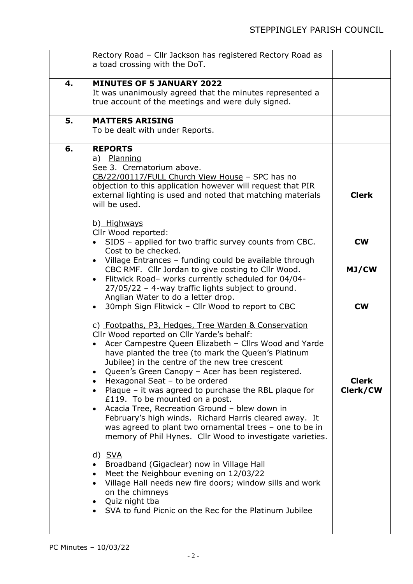|    | Rectory Road - Cllr Jackson has registered Rectory Road as                                                                                                                                                                                                                                                                                                                                                                                                                                                                                                                                                                                                                                                                                    |                          |
|----|-----------------------------------------------------------------------------------------------------------------------------------------------------------------------------------------------------------------------------------------------------------------------------------------------------------------------------------------------------------------------------------------------------------------------------------------------------------------------------------------------------------------------------------------------------------------------------------------------------------------------------------------------------------------------------------------------------------------------------------------------|--------------------------|
|    | a toad crossing with the DoT.                                                                                                                                                                                                                                                                                                                                                                                                                                                                                                                                                                                                                                                                                                                 |                          |
| 4. | <b>MINUTES OF 5 JANUARY 2022</b><br>It was unanimously agreed that the minutes represented a<br>true account of the meetings and were duly signed.                                                                                                                                                                                                                                                                                                                                                                                                                                                                                                                                                                                            |                          |
| 5. | <b>MATTERS ARISING</b><br>To be dealt with under Reports.                                                                                                                                                                                                                                                                                                                                                                                                                                                                                                                                                                                                                                                                                     |                          |
| 6. | <b>REPORTS</b><br>a) Planning<br>See 3. Crematorium above.<br>CB/22/00117/FULL Church View House - SPC has no<br>objection to this application however will request that PIR<br>external lighting is used and noted that matching materials<br>will be used.                                                                                                                                                                                                                                                                                                                                                                                                                                                                                  | <b>Clerk</b>             |
|    | b) Highways<br>Cllr Wood reported:<br>SIDS - applied for two traffic survey counts from CBC.<br>Cost to be checked.                                                                                                                                                                                                                                                                                                                                                                                                                                                                                                                                                                                                                           | <b>CW</b>                |
|    | Village Entrances - funding could be available through<br>$\bullet$<br>CBC RMF. Cllr Jordan to give costing to Cllr Wood.<br>Flitwick Road- works currently scheduled for 04/04-<br>$\bullet$<br>$27/05/22$ – 4-way traffic lights subject to ground.<br>Anglian Water to do a letter drop.                                                                                                                                                                                                                                                                                                                                                                                                                                                   | MJ/CW                    |
|    | 30mph Sign Flitwick - Cllr Wood to report to CBC<br>$\bullet$                                                                                                                                                                                                                                                                                                                                                                                                                                                                                                                                                                                                                                                                                 | <b>CW</b>                |
|    | c) Footpaths, P3, Hedges, Tree Warden & Conservation<br>Cllr Wood reported on Cllr Yarde's behalf:<br>Acer Campestre Queen Elizabeth - Cllrs Wood and Yarde<br>have planted the tree (to mark the Queen's Platinum<br>Jubilee) in the centre of the new tree crescent<br>Queen's Green Canopy - Acer has been registered.<br>$\bullet$<br>Hexagonal Seat - to be ordered<br>$\bullet$<br>Plaque - it was agreed to purchase the RBL plaque for<br>$\bullet$<br>£119. To be mounted on a post.<br>Acacia Tree, Recreation Ground - blew down in<br>$\bullet$<br>February's high winds. Richard Harris cleared away. It<br>was agreed to plant two ornamental trees - one to be in<br>memory of Phil Hynes. Cllr Wood to investigate varieties. | <b>Clerk</b><br>Clerk/CW |
|    | d) <u>SVA</u><br>Broadband (Gigaclear) now in Village Hall<br>$\bullet$<br>Meet the Neighbour evening on 12/03/22<br>$\bullet$<br>Village Hall needs new fire doors; window sills and work<br>$\bullet$<br>on the chimneys<br>Quiz night tba<br>$\bullet$<br>SVA to fund Picnic on the Rec for the Platinum Jubilee<br>$\bullet$                                                                                                                                                                                                                                                                                                                                                                                                              |                          |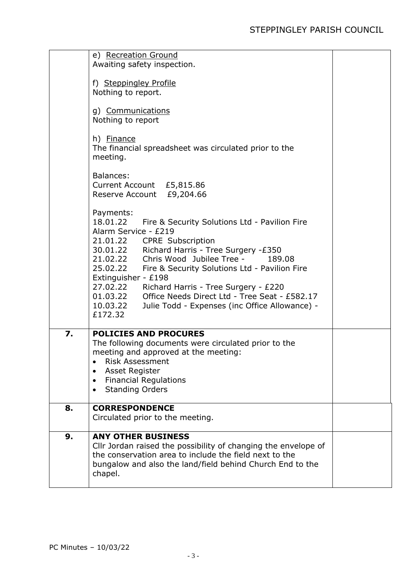|    | e) Recreation Ground<br>Awaiting safety inspection.                                                                                                                                                                                                                                                                                                                                                                                                                                                     |  |
|----|---------------------------------------------------------------------------------------------------------------------------------------------------------------------------------------------------------------------------------------------------------------------------------------------------------------------------------------------------------------------------------------------------------------------------------------------------------------------------------------------------------|--|
|    | f) Steppingley Profile<br>Nothing to report.                                                                                                                                                                                                                                                                                                                                                                                                                                                            |  |
|    | g) Communications<br>Nothing to report                                                                                                                                                                                                                                                                                                                                                                                                                                                                  |  |
|    | h) Finance<br>The financial spreadsheet was circulated prior to the<br>meeting.                                                                                                                                                                                                                                                                                                                                                                                                                         |  |
|    | <b>Balances:</b><br>Current Account £5,815.86<br>Reserve Account £9,204.66                                                                                                                                                                                                                                                                                                                                                                                                                              |  |
|    | Payments:<br>18.01.22<br>Fire & Security Solutions Ltd - Pavilion Fire<br>Alarm Service - £219<br>21.01.22 CPRE Subscription<br>30.01.22 Richard Harris - Tree Surgery -£350<br>Chris Wood Jubilee Tree -<br>21.02.22<br>189.08<br>25.02.22 Fire & Security Solutions Ltd - Pavilion Fire<br>Extinguisher - £198<br>27.02.22 Richard Harris - Tree Surgery - £220<br>Office Needs Direct Ltd - Tree Seat - £582.17<br>01.03.22<br>10.03.22<br>Julie Todd - Expenses (inc Office Allowance) -<br>£172.32 |  |
| 7. | <b>POLICIES AND PROCURES</b><br>The following documents were circulated prior to the<br>meeting and approved at the meeting:<br><b>Risk Assessment</b><br>$\bullet$<br>Asset Register<br><b>Financial Regulations</b><br><b>Standing Orders</b>                                                                                                                                                                                                                                                         |  |
| 8. | <b>CORRESPONDENCE</b><br>Circulated prior to the meeting.                                                                                                                                                                                                                                                                                                                                                                                                                                               |  |
| 9. | <b>ANY OTHER BUSINESS</b><br>Cllr Jordan raised the possibility of changing the envelope of<br>the conservation area to include the field next to the<br>bungalow and also the land/field behind Church End to the<br>chapel.                                                                                                                                                                                                                                                                           |  |